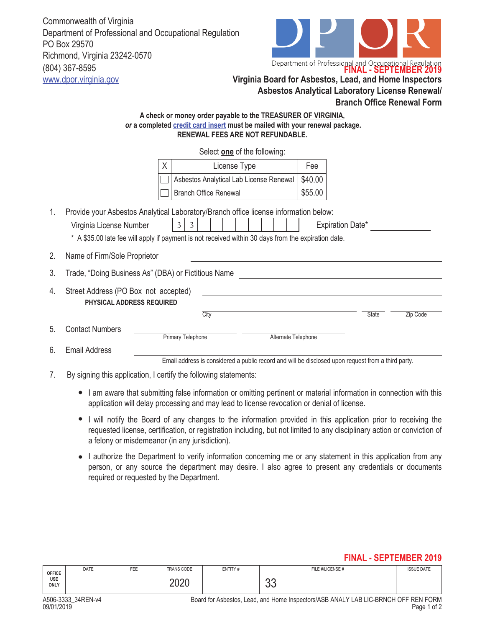Commonwealth of Virginia Department of Professional and Occupational Regulation PO Box 29570 Richmond, Virginia 23242-0570 (804) 367-8595 www.dpor.virginia.gov **Virginia Board for Asbestos, Lead, and Home Inspectors**



## **Asbestos Analytical Laboratory License Renewal/ Branch Office Renewal Form A check or money order payable to the TREASURER OF VIRGINIA,**  *or* **a completed credit card insert must be mailed with your renewal package. RENEWAL FEES ARE NOT REFUNDABLE.** X | License Type | Fee Asbestos Analytical Lab License Renewal | \$40.00 Branch Office Renewal **\$55.00** Select **one** of the following: 1. Provide your Asbestos Analytical Laboratory/Branch office license information below: Virginia License Number  $\begin{vmatrix} 3 & 3 & 1 \\ 3 & 1 & 1 \\ 3 & 1 & 1 \end{vmatrix}$  | Expiration Date\* \* A \$35.00 late fee will apply if payment is not received within 30 days from the expiration date. 2. Name of Firm/Sole Proprietor 3. Trade, "Doing Business As" (DBA) or Fictitious Name 4. Street Address (PO Box not accepted) **PHYSICAL ADDRESS REQUIRED** City **State** Zip Code 5. Contact Numbers Primary Telephone Alternate Telephone Email Address Email address is considered a public record and will be disclosed upon request from a third party. 6.  $3<sup>1</sup>$

- 7. By signing this application, I certify the following statements:
	- I am aware that submitting false information or omitting pertinent or material information in connection with this application will delay processing and may lead to license revocation or denial of license.
	- I will notify the Board of any changes to the information provided in this application prior to receiving the requested license, certification, or registration including, but not limited to any disciplinary action or conviction of a felony or misdemeanor (in any jurisdiction).
	- I authorize the Department to verify information concerning me or any statement in this application from any person, or any source the department may desire. I also agree to present any credentials or documents required or requested by the Department.

## **FINAL - SEPTEMBER 2019**

| <b>OFFICE</b> | DATE | FEE | TRANS CODE                | ENTITY# | FILE #/LICENSE # | <b>ISSUE DATE</b> |
|---------------|------|-----|---------------------------|---------|------------------|-------------------|
| USE<br>ONLY   |      |     | 300 <sup>o</sup><br>ーマムワー |         | n r<br>◡◡        |                   |

A506-3333\_34REN-v4 Board for Asbestos, Lead, and Home Inspectors/ASB ANALY LAB LIC-BRNCH OFF REN FORM<br>1 Page 1 of 2 09/01/2019 Page 1 of 2